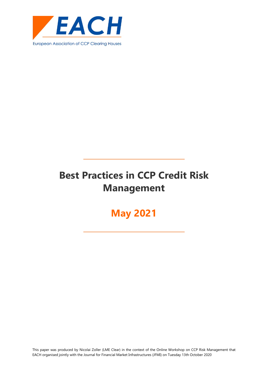

# **Best Practices in CCP Credit Risk Management**

# **May 2021**

This paper was produced by Nicolai Zoller (LME Clear) in the context of the Online Workshop on CCP Risk Management that EACH organised jointly with the Journal for Financial Market Infrastructures (JFMI) on Tuesday 13th October 2020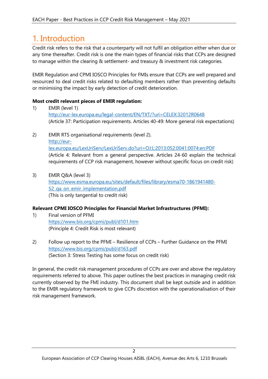## <span id="page-2-0"></span>1. Introduction

Credit risk refers to the risk that a counterparty will not fulfil an obligation either when due or any time thereafter. Credit risk is one the main types of financial risks that CCPs are designed to manage within the clearing & settlement- and treasury & investment risk categories.

EMIR Regulation and CPMI IOSCO Principles for FMIs ensure that CCPs are well prepared and resourced to deal credit risks related to defaulting members rather than preventing defaults or minimising the impact by early detection of credit deterioration.

#### **Most credit relevant pieces of EMIR regulation:**

- 1) EMIR (level 1) <http://eur-lex.europa.eu/legal-content/EN/TXT/?uri=CELEX:32012R0648> (Article 37: Participation requirements. Articles 40-49: More general risk expectations)
- 2) EMIR RTS organisational requirements (level 2). [http://eur](http://eur-lex.europa.eu/LexUriServ/LexUriServ.do?uri=OJ:L:2013:052:0041:0074:en:PDF)[lex.europa.eu/LexUriServ/LexUriServ.do?uri=OJ:L:2013:052:0041:0074:en:PDF](http://eur-lex.europa.eu/LexUriServ/LexUriServ.do?uri=OJ:L:2013:052:0041:0074:en:PDF) (Article 4: Relevant from a general perspective. Articles 24-60 explain the technical requirements of CCP risk management, however without specific focus on credit risk)
- 3) EMIR Q&A (level 3) [https://www.esma.europa.eu/sites/default/files/library/esma70-1861941480-](https://www.esma.europa.eu/sites/default/files/library/esma70-1861941480-52_qa_on_emir_implementation.pdf) 52 ga on emir implementation.pdf (This is only tangential to credit risk)

#### **Relevant CPMI IOSCO Principles for Financial Market Infrastructures (PFMI):**

- 1) Final version of PFMI <https://www.bis.org/cpmi/publ/d101.htm> (Principle 4: Credit Risk is most relevant)
- 2) Follow up report to the PFMI Resilience of CCPs Further Guidance on the PFMI <https://www.bis.org/cpmi/publ/d163.pdf> (Section 3: Stress Testing has some focus on credit risk)

<span id="page-2-1"></span>In general, the credit risk management procedures of CCPs are over and above the regulatory requirements referred to above. This paper outlines the best practices in managing credit risk currently observed by the FMI industry. This document shall be kept outside and in addition to the EMIR regulatory framework to give CCPs discretion with the operationalisation of their risk management framework.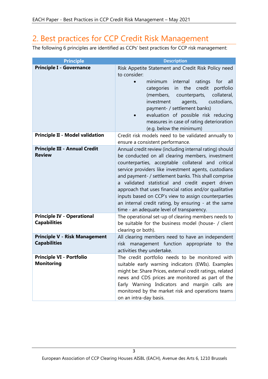## 2. Best practices for CCP Credit Risk Management

The following 6 principles are identified as CCPs' best practices for CCP risk management:

| <b>Principle</b>                                            | <b>Description</b>                                                                                                                                                                                                                                                                                                                                                                                                                                                                                                                                          |  |
|-------------------------------------------------------------|-------------------------------------------------------------------------------------------------------------------------------------------------------------------------------------------------------------------------------------------------------------------------------------------------------------------------------------------------------------------------------------------------------------------------------------------------------------------------------------------------------------------------------------------------------------|--|
| <b>Principle I - Governance</b>                             | Risk Appetite Statement and Credit Risk Policy need<br>to consider:                                                                                                                                                                                                                                                                                                                                                                                                                                                                                         |  |
|                                                             | minimum<br>internal<br>ratings for<br>all<br>credit<br>portfolio<br>categories<br>the<br>in<br>collateral,<br>(members, counterparts,<br>custodians,<br>investment<br>agents,<br>payment- / settlement banks)<br>evaluation of possible risk reducing<br>measures in case of rating deterioration<br>(e.g. below the minimum)                                                                                                                                                                                                                               |  |
| <b>Principle II - Model validation</b>                      | Credit risk models need to be validated annually to<br>ensure a consistent performance.                                                                                                                                                                                                                                                                                                                                                                                                                                                                     |  |
| <b>Principle III - Annual Credit</b><br><b>Review</b>       | Annual credit review (including internal rating) should<br>be conducted on all clearing members, investment<br>counterparties, acceptable collateral and critical<br>service providers like investment agents, custodians<br>and payment- / settlement banks. This shall comprise<br>a validated statistical and credit expert driven<br>approach that uses financial ratios and/or qualitative<br>inputs based on CCP's view to assign counterparties<br>an internal credit rating, by ensuring - at the same<br>time - an adequate level of transparency. |  |
| <b>Principle IV - Operational</b><br><b>Capabilities</b>    | The operational set-up of clearing members needs to<br>be suitable for the business model (house- / client<br>clearing or both).                                                                                                                                                                                                                                                                                                                                                                                                                            |  |
| <b>Principle V - Risk Management</b><br><b>Capabilities</b> | All clearing members need to have an independent<br>risk management function appropriate to the<br>activities they undertake.                                                                                                                                                                                                                                                                                                                                                                                                                               |  |
| <b>Principle VI - Portfolio</b><br><b>Monitoring</b>        | The credit portfolio needs to be monitored with<br>suitable early warning indicators (EWIs). Examples<br>might be: Share Prices, external credit ratings, related<br>news and CDS prices are monitored as part of the<br>Early Warning Indicators and margin calls are<br>monitored by the market risk and operations teams<br>on an intra-day basis.                                                                                                                                                                                                       |  |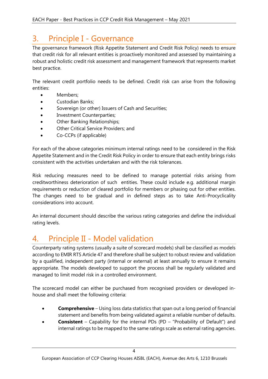# <span id="page-4-0"></span>3. Principle I - Governance

The governance framework (Risk Appetite Statement and Credit Risk Policy) needs to ensure that credit risk for all relevant entities is proactively monitored and assessed by maintaining a robust and holistic credit risk assessment and management framework that represents market best practice.

The relevant credit portfolio needs to be defined. Credit risk can arise from the following entities:

- Members:
- Custodian Banks;
- Sovereign (or other) Issuers of Cash and Securities;
- Investment Counterparties;
- Other Banking Relationships;
- Other Critical Service Providers; and
- Co-CCPs (if applicable)

For each of the above categories minimum internal ratings need to be considered in the Risk Appetite Statement and in the Credit Risk Policy in order to ensure that each entity brings risks consistent with the activities undertaken and with the risk tolerances.

Risk reducing measures need to be defined to manage potential risks arising from creditworthiness deterioration of such entities. These could include e.g. additional margin requirements or reduction of cleared portfolio for members or phasing out for other entities. The changes need to be gradual and in defined steps as to take Anti-Procyclicality considerations into account.

An internal document should describe the various rating categories and define the individual rating levels.

## <span id="page-4-1"></span>4. Principle II - Model validation

Counterparty rating systems (usually a suite of scorecard models) shall be classified as models according to EMIR RTS Article 47 and therefore shall be subject to robust review and validation by a qualified, independent party (internal or external) at least annually to ensure it remains appropriate. The models developed to support the process shall be regularly validated and managed to limit model risk in a controlled environment.

The scorecard model can either be purchased from recognised providers or developed inhouse and shall meet the following criteria:

- **Comprehensive** Using loss data statistics that span out a long period of financial statement and benefits from being validated against a reliable number of defaults.
- **Consistent** Capability for the internal PDs (PD "Probability of Default") and internal ratings to be mapped to the same ratings scale as external rating agencies.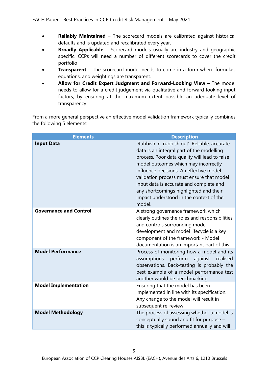- **Reliably Maintained** The scorecard models are calibrated against historical defaults and is updated and recalibrated every year.
- **Broadly Applicable** Scorecard models usually are industry and geographic specific. CCPs will need a number of different scorecards to cover the credit portfolio
- **Transparent** The scorecard model needs to come in a form where formulas, equations, and weightings are transparent.
- **Allow for Credit Expert Judgment and Forward-Looking View** The model needs to allow for a credit judgement via qualitative and forward-looking input factors, by ensuring at the maximum extent possible an adequate level of transparency

From a more general perspective an effective model validation framework typically combines the following 5 elements:

| <b>Elements</b>               | <b>Description</b>                                                                                                                                                                                                                                                                                                                                                                                                    |
|-------------------------------|-----------------------------------------------------------------------------------------------------------------------------------------------------------------------------------------------------------------------------------------------------------------------------------------------------------------------------------------------------------------------------------------------------------------------|
| <b>Input Data</b>             | 'Rubbish in, rubbish out': Reliable, accurate<br>data is an integral part of the modelling<br>process. Poor data quality will lead to false<br>model outcomes which may incorrectly<br>influence decisions. An effective model<br>validation process must ensure that model<br>input data is accurate and complete and<br>any shortcomings highlighted and their<br>impact understood in the context of the<br>model. |
| <b>Governance and Control</b> | A strong governance framework which<br>clearly outlines the roles and responsibilities<br>and controls surrounding model<br>development and model lifecycle is a key<br>component of the framework - Model<br>documentation is an important part of this.                                                                                                                                                             |
| <b>Model Performance</b>      | Process of monitoring how a model and its<br>perform<br>assumptions<br>against<br>realised<br>observations. Back-testing is probably the<br>best example of a model performance test<br>another would be benchmarking.                                                                                                                                                                                                |
| <b>Model Implementation</b>   | Ensuring that the model has been<br>implemented in line with its specification.<br>Any change to the model will result in<br>subsequent re-review.                                                                                                                                                                                                                                                                    |
| <b>Model Methodology</b>      | The process of assessing whether a model is<br>conceptually sound and fit for purpose -<br>this is typically performed annually and will                                                                                                                                                                                                                                                                              |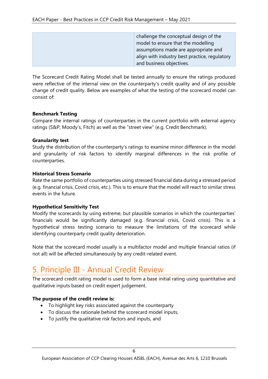| challenge the conceptual design of the                                     |
|----------------------------------------------------------------------------|
| model to ensure that the modelling<br>assumptions made are appropriate and |
| align with industry best practice, regulatory                              |
| and business objectives.                                                   |

The Scorecard Credit Rating Model shall be tested annually to ensure the ratings produced were reflective of the internal view on the counterparty's credit quality and of any possible change of credit quality. Below are examples of what the testing of the scorecard model can consist of:

#### **Benchmark Testing**

Compare the internal ratings of counterparties in the current portfolio with external agency ratings (S&P, Moody's, Fitch) as well as the "street view" (e.g. Credit Benchmark).

#### **Granularity test**

Study the distribution of the counterparty's ratings to examine minor difference in the model and granularity of risk factors to identify marginal differences in the risk profile of counterparties.

#### **Historical Stress Scenario**

Rate the same portfolio of counterparties using stressed financial data during a stressed period (e.g. financial crisis, Covid crisis, etc.). This is to ensure that the model will react to similar stress events in the future.

#### **Hypothetical Sensitivity Test**

Modify the scorecards by using extreme, but plausible scenarios in which the counterparties' financials would be significantly damaged (e.g. financial crisis, Covid crisis). This is a hypothetical stress testing scenario to measure the limitations of the scorecard while identifying counterparty credit quality deterioration.

Note that the scorecard model usually is a multifactor model and multiple financial ratios (if not all) will be affected simultaneously by any credit-related event.

### <span id="page-6-0"></span>5. Principle III - Annual Credit Review

The scorecard credit rating model is used to form a base initial rating using quantitative and qualitative inputs based on credit expert judgement.

#### **The purpose of the credit review is:**

- To highlight key risks associated against the counterparty
- To discuss the rationale behind the scorecard model inputs,
- To justify the qualitative risk factors and inputs, and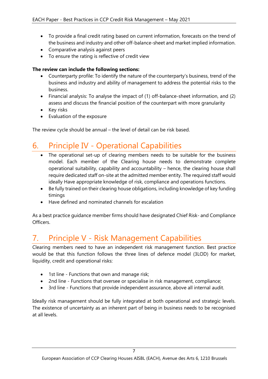- To provide a final credit rating based on current information, forecasts on the trend of the business and industry and other off-balance-sheet and market implied information.
- Comparative analysis against peers
- To ensure the rating is reflective of credit view

#### **The review can include the following sections:**

- Counterparty profile: To identify the nature of the counterparty's business, trend of the business and industry and ability of management to address the potential risks to the business.
- Financial analysis: To analyse the impact of (1) off-balance-sheet information, and (2) assess and discuss the financial position of the counterpart with more granularity
- Key risks
- Evaluation of the exposure

The review cycle should be annual – the level of detail can be risk based.

# 6. Principle IV - Operational Capabilities

- <span id="page-7-0"></span>The operational set-up of clearing members needs to be suitable for the business model. Each member of the Clearing house needs to demonstrate complete operational suitability, capability and accountability – hence, the clearing house shall require dedicated staff on-site at the admitted member entity. The required staff would ideally Have appropriate knowledge of risk, compliance and operations functions.
- Be fully trained on their clearing house obligations, including knowledge of key funding timings
- Have defined and nominated channels for escalation

As a best practice guidance member firms should have designated Chief Risk- and Compliance Officers.

# <span id="page-7-1"></span>7. Principle V - Risk Management Capabilities

Clearing members need to have an independent risk management function. Best practice would be that this function follows the three lines of defence model (3LOD) for market, liquidity, credit and operational risks:

- 1st line Functions that own and manage risk;
- 2nd line Functions that oversee or specialise in risk management, compliance;
- 3rd line Functions that provide independent assurance, above all internal audit.

Ideally risk management should be fully integrated at both operational and strategic levels. The existence of uncertainty as an inherent part of being in business needs to be recognised at all levels.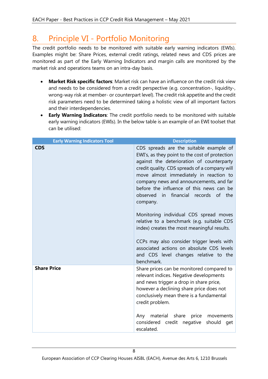## <span id="page-8-0"></span>8. Principle VI - Portfolio Monitoring

The credit portfolio needs to be monitored with suitable early warning indicators (EWIs). Examples might be: Share Prices, external credit ratings, related news and CDS prices are monitored as part of the Early Warning Indicators and margin calls are monitored by the market risk and operations teams on an intra-day basis.

- **Market Risk specific factors**: Market risk can have an influence on the credit risk view and needs to be considered from a credit perspective (e.g. concentration-, liquidity-, wrong-way risk at member- or counterpart level). The credit risk appetite and the credit risk parameters need to be determined taking a holistic view of all important factors and their interdependencies.
- **Early Warning Indicators**: The credit portfolio needs to be monitored with suitable early warning indicators (EWIs). In the below table is an example of an EWI toolset that can be utilised:

| <b>Early Warning Indicators Tool</b> | <b>Description</b>                                                                                                                                                                                                                                                                                                                                                                                                                                                                                                                                                                                                                                                    |
|--------------------------------------|-----------------------------------------------------------------------------------------------------------------------------------------------------------------------------------------------------------------------------------------------------------------------------------------------------------------------------------------------------------------------------------------------------------------------------------------------------------------------------------------------------------------------------------------------------------------------------------------------------------------------------------------------------------------------|
| <b>CDS</b>                           | CDS spreads are the suitable example of<br>EWI's, as they point to the cost of protection<br>against the deterioration of counterparty<br>credit quality. CDS spreads of a company will<br>move almost immediately in reaction to<br>company news and announcements, and far<br>before the influence of this news can be<br>observed in financial records of the<br>company.<br>Monitoring individual CDS spread moves<br>relative to a benchmark (e.g. suitable CDS<br>index) creates the most meaningful results.<br>CCPs may also consider trigger levels with<br>associated actions on absolute CDS levels<br>and CDS level changes relative to the<br>benchmark. |
| <b>Share Price</b>                   | Share prices can be monitored compared to<br>relevant indices. Negative developments<br>and news trigger a drop in share price,<br>however a declining share price does not<br>conclusively mean there is a fundamental<br>credit problem.<br>material<br>Any<br>share<br>price<br>movements<br>credit<br>considered<br>negative<br>should<br>get<br>escalated.                                                                                                                                                                                                                                                                                                       |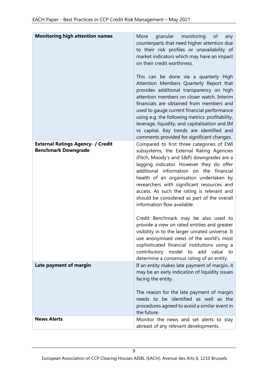| <b>Monitoring high attention names</b>                                 | More<br>granular<br>monitoring<br>of<br>any<br>counterparts that need higher attention due<br>to their risk profiles or unavailability of<br>market indicators which may have an impact<br>on their credit worthiness.<br>This can be done via a quarterly High<br>Attention Members Quarterly Report that<br>provides additional transparency on high<br>attention members on closer watch. Interim<br>financials are obtained from members and<br>used to gauge current financial performance<br>using e.g. the following metrics: profitability,<br>leverage, liquidity, and capitalisation and IM<br>vs capital. Key trends are identified and<br>comments provided for significant changes. |
|------------------------------------------------------------------------|--------------------------------------------------------------------------------------------------------------------------------------------------------------------------------------------------------------------------------------------------------------------------------------------------------------------------------------------------------------------------------------------------------------------------------------------------------------------------------------------------------------------------------------------------------------------------------------------------------------------------------------------------------------------------------------------------|
| <b>External Ratings Agency- / Credit</b><br><b>Benchmark Downgrade</b> | Compared to first three categories of EWI<br>subsystems, the External Rating Agencies<br>(Fitch, Moody's and S&P) downgrades are a<br>lagging indicator. However they do offer<br>additional information on the financial<br>health of an organisation undertaken by<br>researchers with significant resources and<br>access. As such the rating is relevant and<br>should be considered as part of the overall<br>information flow available.                                                                                                                                                                                                                                                   |
|                                                                        | Credit Benchmark may be also used to<br>provide a view on rated entities and greater<br>visibility in to the larger unrated universe. It<br>use anonymised views of the world's most<br>sophisticated financial institutions using a<br>contributory<br>model to<br>add value<br>to<br>determine a consensus rating of an entity.                                                                                                                                                                                                                                                                                                                                                                |
| Late payment of margin                                                 | If an entity makes late payment of margin, it<br>may be an early indication of liquidity issues<br>facing the entity.<br>The reason for the late payment of margin<br>needs to be identified as well as the<br>procedures agreed to avoid a similar event in<br>the future.                                                                                                                                                                                                                                                                                                                                                                                                                      |
| <b>News Alerts</b>                                                     | Monitor the news and set alerts to stay<br>abreast of any relevant developments.                                                                                                                                                                                                                                                                                                                                                                                                                                                                                                                                                                                                                 |

European Association of CCP Clearing Houses AISBL (EACH), Avenue des Arts 6, 1210 Brussels